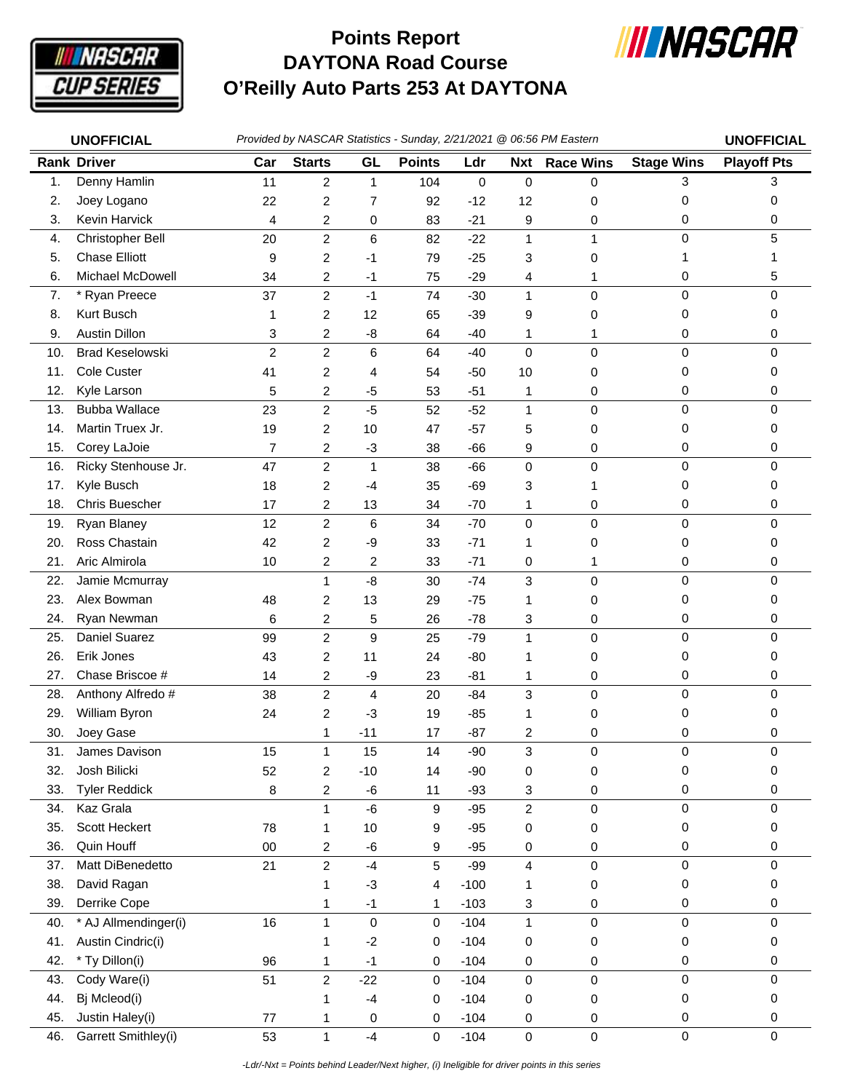

## **DAYTONA Road Course O'Reilly Auto Parts 253 At DAYTONA Points Report**



|                | <b>UNOFFICIAL</b>            | Provided by NASCAR Statistics - Sunday, 2/21/2021 @ 06:56 PM Eastern |                         |                |               |             |                         |                  |                   | <b>UNOFFICIAL</b>  |
|----------------|------------------------------|----------------------------------------------------------------------|-------------------------|----------------|---------------|-------------|-------------------------|------------------|-------------------|--------------------|
|                | <b>Rank Driver</b>           | Car                                                                  | <b>Starts</b>           | GL             | <b>Points</b> | Ldr         | <b>Nxt</b>              | <b>Race Wins</b> | <b>Stage Wins</b> | <b>Playoff Pts</b> |
| $\mathbf{1}$ . | Denny Hamlin                 | 11                                                                   | 2                       | 1              | 104           | $\mathbf 0$ | $\pmb{0}$               | 0                | 3                 | 3                  |
| 2.             | Joey Logano                  | 22                                                                   | 2                       | $\overline{7}$ | 92            | $-12$       | 12                      | 0                | 0                 | 0                  |
| 3.             | Kevin Harvick                | 4                                                                    | 2                       | 0              | 83            | $-21$       | 9                       | 0                | 0                 | 0                  |
| 4.             | Christopher Bell             | 20                                                                   | 2                       | 6              | 82            | $-22$       | $\mathbf{1}$            | $\mathbf{1}$     | 0                 | 5                  |
| 5.             | <b>Chase Elliott</b>         | 9                                                                    | 2                       | $-1$           | 79            | $-25$       | 3                       | 0                | 1                 | 1                  |
| 6.             | Michael McDowell             | 34                                                                   | 2                       | $-1$           | 75            | $-29$       | 4                       | 1                | 0                 | 5                  |
| 7.             | * Ryan Preece                | 37                                                                   | $\overline{c}$          | $-1$           | 74            | $-30$       | $\mathbf{1}$            | 0                | $\mathsf 0$       | $\mathbf 0$        |
| 8.             | Kurt Busch                   | 1                                                                    | 2                       | 12             | 65            | $-39$       | 9                       | 0                | 0                 | 0                  |
| 9.             | <b>Austin Dillon</b>         | 3                                                                    | 2                       | -8             | 64            | $-40$       | 1                       | 1                | 0                 | 0                  |
| 10.            | <b>Brad Keselowski</b>       | $\overline{c}$                                                       | $\overline{c}$          | 6              | 64            | $-40$       | $\mathbf 0$             | 0                | 0                 | 0                  |
| 11.            | Cole Custer                  | 41                                                                   | 2                       | 4              | 54            | $-50$       | 10                      | 0                | 0                 | 0                  |
| 12.            | Kyle Larson                  | 5                                                                    | 2                       | $-5$           | 53            | $-51$       | 1                       | 0                | 0                 | 0                  |
| 13.            | <b>Bubba Wallace</b>         | 23                                                                   | $\overline{c}$          | $-5$           | 52            | $-52$       | $\mathbf{1}$            | 0                | 0                 | $\mathbf 0$        |
| 14.            | Martin Truex Jr.             | 19                                                                   | 2                       | 10             | 47            | $-57$       | 5                       | 0                | 0                 | 0                  |
| 15.            | Corey LaJoie                 | $\overline{7}$                                                       | 2                       | $-3$           | 38            | $-66$       | 9                       | 0                | 0                 | 0                  |
| 16.            | Ricky Stenhouse Jr.          | 47                                                                   | $\overline{c}$          | 1              | 38            | $-66$       | 0                       | 0                | 0                 | 0                  |
| 17.            | Kyle Busch                   | 18                                                                   | 2                       | -4             | 35            | $-69$       | 3                       | 1                | 0                 | 0                  |
| 18.            | Chris Buescher               | 17                                                                   | 2                       | 13             | 34            | $-70$       | 1                       | 0                | 0                 | 0                  |
| 19.            | Ryan Blaney                  | 12                                                                   | 2                       | 6              | 34            | $-70$       | 0                       | 0                | 0                 | 0                  |
| 20.            | Ross Chastain                | 42                                                                   | 2                       | -9             | 33            | $-71$       | 1                       | 0                | 0                 | 0                  |
| 21.            | Aric Almirola                | 10                                                                   | 2                       | $\overline{c}$ | 33            | $-71$       | 0                       | 1                | 0                 | 0                  |
| 22.            | Jamie Mcmurray               |                                                                      | $\mathbf{1}$            | $-8$           | 30            | $-74$       | 3                       | 0                | 0                 | $\mathbf 0$        |
| 23.            | Alex Bowman                  |                                                                      |                         | 13             |               |             |                         |                  | 0                 | 0                  |
|                |                              | 48                                                                   | 2                       |                | 29            | $-75$       | 1                       | 0                |                   |                    |
| 24.            | Ryan Newman<br>Daniel Suarez | 6                                                                    | 2                       | 5              | 26            | $-78$       | 3                       | 0                | 0<br>0            | 0<br>$\mathbf 0$   |
| 25.            |                              | 99                                                                   | $\overline{c}$          | 9              | 25            | $-79$       | $\mathbf{1}$            | 0                |                   |                    |
| 26.            | Erik Jones                   | 43                                                                   | $\overline{c}$          | 11             | 24            | $-80$       | 1                       | 0                | 0                 | 0                  |
| 27.            | Chase Briscoe #              | 14                                                                   | 2                       | -9             | 23            | $-81$       | 1                       | 0                | 0                 | 0                  |
| 28.            | Anthony Alfredo #            | 38                                                                   | 2                       | 4              | 20            | $-84$       | 3                       | 0                | $\mathsf 0$       | 0                  |
| 29.            | William Byron                | 24                                                                   | 2                       | $-3$           | 19            | $-85$       | 1                       | 0                | 0                 | 0                  |
| 30.            | Joey Gase                    |                                                                      | 1                       | $-11$          | 17            | $-87$       | 2                       | 0                | 0                 | 0                  |
| 31.            | James Davison                | 15                                                                   | 1                       | 15             | 14            | $-90$       | 3                       | 0                | 0                 | 0                  |
| 32.            | Josh Bilicki                 | 52                                                                   | $\overline{\mathbf{c}}$ | $-10$          | 14            | $-90$       | 0                       | 0                | 0                 | 0                  |
| 33.            | <b>Tyler Reddick</b>         | 8                                                                    | 2                       | $-6$           | 11            | $-93$       | 3                       | 0                | 0                 | 0                  |
| 34.            | Kaz Grala                    |                                                                      | 1                       | $-6$           | 9             | $-95$       | $\overline{\mathbf{c}}$ | 0                | 0                 | 0                  |
| 35.            | Scott Heckert                | 78                                                                   | 1                       | 10             | 9             | $-95$       | 0                       | 0                | 0                 | 0                  |
| 36.            | Quin Houff                   | $00\,$                                                               | $\overline{\mathbf{c}}$ | -6             | 9             | $-95$       | 0                       | 0                | 0                 | 0                  |
| 37.            | Matt DiBenedetto             | 21                                                                   | $\overline{c}$          | $-4$           | $\sqrt{5}$    | $-99$       | 4                       | 0                | 0                 | $\pmb{0}$          |
| 38.            | David Ragan                  |                                                                      | 1                       | $-3$           | 4             | $-100$      | 1                       | 0                | 0                 | 0                  |
| 39.            | Derrike Cope                 |                                                                      | 1                       | $-1$           | 1             | $-103$      | 3                       | 0                | 0                 | 0                  |
| 40.            | * AJ Allmendinger(i)         | 16                                                                   | 1                       | 0              | $\mathbf 0$   | $-104$      | $\mathbf{1}$            | 0                | 0                 | 0                  |
| 41.            | Austin Cindric(i)            |                                                                      | 1                       | $-2$           | 0             | $-104$      | 0                       | 0                | 0                 | 0                  |
| 42.            | * Ty Dillon(i)               | 96                                                                   | 1                       | $-1$           | 0             | $-104$      | 0                       | 0                | 0                 | 0                  |
| 43.            | Cody Ware(i)                 | 51                                                                   | $\overline{c}$          | $-22$          | 0             | $-104$      | 0                       | 0                | $\mathbf 0$       | 0                  |
| 44.            | Bj Mcleod(i)                 |                                                                      | 1                       | $-4$           | 0             | $-104$      | 0                       | 0                | 0                 | 0                  |
| 45.            | Justin Haley(i)              | 77                                                                   | 1                       | 0              | 0             | $-104$      | 0                       | 0                | 0                 | 0                  |
| 46.            | Garrett Smithley(i)          | 53                                                                   | $\mathbf{1}$            | $-4$           | $\mathbf 0$   | $-104$      | $\pmb{0}$               | 0                | $\mathbf 0$       | $\pmb{0}$          |